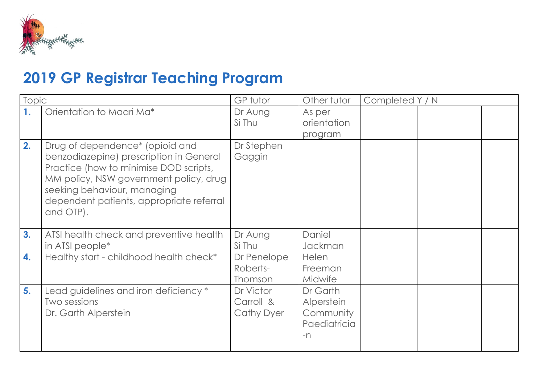

## **2019 GP Registrar Teaching Program**

| <b>Topic</b> |                                                                                                                                                                                                                                                        | GP tutor                                    | Other tutor                                                 | Completed Y / N |  |
|--------------|--------------------------------------------------------------------------------------------------------------------------------------------------------------------------------------------------------------------------------------------------------|---------------------------------------------|-------------------------------------------------------------|-----------------|--|
| 1.           | Orientation to Maari Ma*                                                                                                                                                                                                                               | Dr Aung<br>Si Thu                           | As per<br>orientation                                       |                 |  |
|              |                                                                                                                                                                                                                                                        |                                             | program                                                     |                 |  |
| 2.           | Drug of dependence* (opioid and<br>benzodiazepine) prescription in General<br>Practice (how to minimise DOD scripts,<br>MM policy, NSW government policy, drug<br>seeking behaviour, managing<br>dependent patients, appropriate referral<br>and OTP). | Dr Stephen<br>Gaggin                        |                                                             |                 |  |
| 3.           | ATSI health check and preventive health<br>in ATSI people <sup>*</sup>                                                                                                                                                                                 | Dr Aung<br>Si Thu                           | Daniel<br>Jackman                                           |                 |  |
| 4.           | Healthy start - childhood health check*                                                                                                                                                                                                                | Dr Penelope<br>Roberts-<br>Thomson          | <b>Helen</b><br>Freeman<br><b>Midwife</b>                   |                 |  |
| 5.           | Lead guidelines and iron deficiency *<br>Two sessions<br>Dr. Garth Alperstein                                                                                                                                                                          | Dr Victor<br>Carroll &<br><b>Cathy Dyer</b> | Dr Garth<br>Alperstein<br>Community<br>Paediatricia<br>$-n$ |                 |  |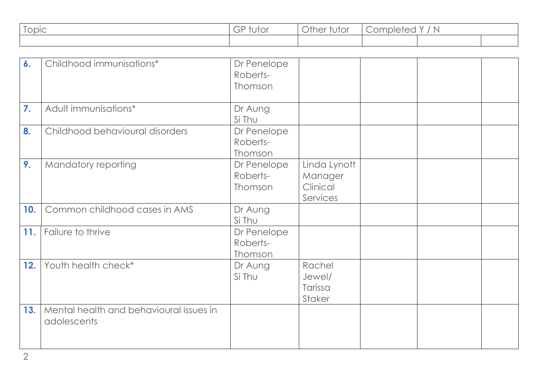| Topic | ,utor<br>ూ | $\sim$ $\blacksquare$<br>)ther<br>tutor | mplere<br>N<br>ו זוכי<br>$\theta$ |  |  |
|-------|------------|-----------------------------------------|-----------------------------------|--|--|
|       |            |                                         |                                   |  |  |

| 6.  | Childhood immunisations*                               | Dr Penelope<br>Roberts-<br>Thomson |                                                 |  |  |
|-----|--------------------------------------------------------|------------------------------------|-------------------------------------------------|--|--|
| 7.  | Adult immunisations*                                   | Dr Aung<br>Si Thu                  |                                                 |  |  |
| 8.  | Childhood behavioural disorders                        | Dr Penelope<br>Roberts-<br>Thomson |                                                 |  |  |
| 9.  | Mandatory reporting                                    | Dr Penelope<br>Roberts-<br>Thomson | Linda Lynott<br>Manager<br>Clinical<br>Services |  |  |
| 10. | Common childhood cases in AMS                          | Dr Aung<br>Si Thu                  |                                                 |  |  |
| 11. | Failure to thrive                                      | Dr Penelope<br>Roberts-<br>Thomson |                                                 |  |  |
| 12. | Youth health check*                                    | Dr Aung<br>Si Thu                  | Rachel<br>Jewel/<br>Tarissa<br>Staker           |  |  |
| 13. | Mental health and behavioural issues in<br>adolescents |                                    |                                                 |  |  |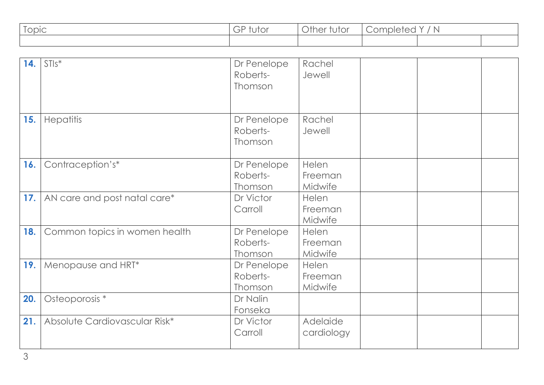| $\sim$<br><b>Sopic</b> | $\sim$ $\sim$<br>tutor<br>ూ | Other <sup>®</sup><br><b>rutor</b> | Completed | 'N<br>$\lambda$ |  |
|------------------------|-----------------------------|------------------------------------|-----------|-----------------|--|
|                        |                             |                                    |           |                 |  |

| 14. | $STIs^*$                      | Dr Penelope<br>Roberts-<br>Thomson | Rachel<br>Jewell            |  |  |
|-----|-------------------------------|------------------------------------|-----------------------------|--|--|
| 15. | <b>Hepatitis</b>              | Dr Penelope<br>Roberts-<br>Thomson | Rachel<br>Jewell            |  |  |
| 16. | Contraception's*              | Dr Penelope<br>Roberts-<br>Thomson | Helen<br>Freeman<br>Midwife |  |  |
| 17. | AN care and post natal care*  | Dr Victor<br>Carroll               | Helen<br>Freeman<br>Midwife |  |  |
| 18. | Common topics in women health | Dr Penelope<br>Roberts-<br>Thomson | Helen<br>Freeman<br>Midwife |  |  |
| 19. | Menopause and HRT*            | Dr Penelope<br>Roberts-<br>Thomson | Helen<br>Freeman<br>Midwife |  |  |
| 20. | Osteoporosis *                | Dr Nalin<br>Fonseka                |                             |  |  |
| 21. | Absolute Cardiovascular Risk* | Dr Victor<br>Carroll               | Adelaide<br>cardiology      |  |  |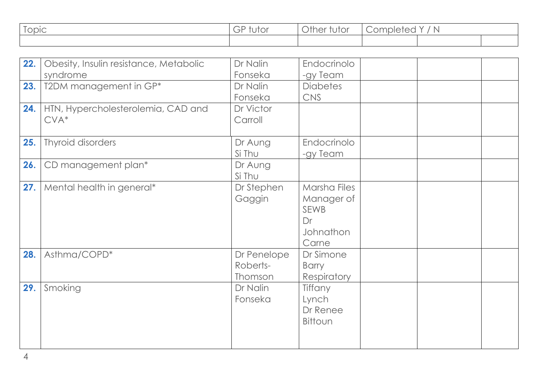| $\sim$<br>Topic | $\sim$ $\sim$<br>.<br>$\cup$ $\vdash$<br>IUIUI | <b>Other ide</b><br>TUTOL | <b>Ampleic</b><br>$\smallsmile$ | $\mathbb N$ |  |
|-----------------|------------------------------------------------|---------------------------|---------------------------------|-------------|--|
|                 |                                                |                           |                                 |             |  |

| 22. | Obesity, Insulin resistance, Metabolic | Dr Nalin    | Endocrinolo                  |  |  |
|-----|----------------------------------------|-------------|------------------------------|--|--|
|     | syndrome                               | Fonseka     | -gy Team                     |  |  |
| 23. | T2DM management in GP*                 | Dr Nalin    | <b>Diabetes</b>              |  |  |
|     |                                        | Fonseka     | <b>CNS</b>                   |  |  |
| 24. | HTN, Hypercholesterolemia, CAD and     | Dr Victor   |                              |  |  |
|     | $CVA*$                                 | Carroll     |                              |  |  |
|     |                                        |             |                              |  |  |
| 25. | Thyroid disorders                      | Dr Aung     | Endocrinolo                  |  |  |
|     |                                        | Si Thu      | -gy Team                     |  |  |
| 26. | CD management plan*                    | Dr Aung     |                              |  |  |
|     |                                        | Si Thu      |                              |  |  |
| 27. | Mental health in general*              | Dr Stephen  | Marsha Files                 |  |  |
|     |                                        | Gaggin      | Manager of                   |  |  |
|     |                                        |             | <b>SEWB</b>                  |  |  |
|     |                                        |             | Dr                           |  |  |
|     |                                        |             | Johnathon                    |  |  |
|     |                                        |             | Carne                        |  |  |
| 28. | Asthma/COPD*                           | Dr Penelope | Dr Simone                    |  |  |
|     |                                        | Roberts-    | Barry                        |  |  |
|     |                                        | Thomson     | <b>Respiratory</b>           |  |  |
| 29. | Smoking                                | Dr Nalin    | Tiffany                      |  |  |
|     |                                        |             |                              |  |  |
|     |                                        |             |                              |  |  |
|     |                                        |             |                              |  |  |
|     |                                        |             |                              |  |  |
|     |                                        |             |                              |  |  |
|     |                                        | Fonseka     | Lynch<br>Dr Renee<br>Bittoun |  |  |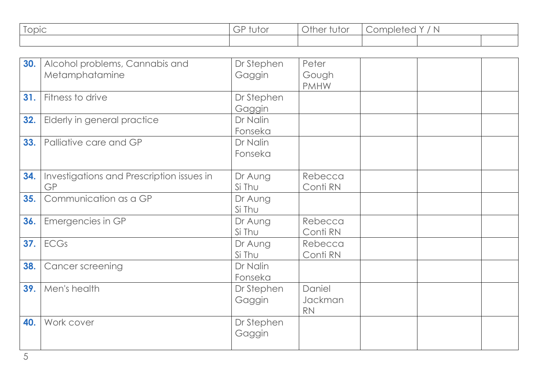| $\overline{\phantom{a}}$<br>opic | ~<br>iuioi<br>$ \sim$<br>$\smash\smile$ | <sup>1</sup> ther iv.<br>UIU<br>◡ | $\sim$ + $\sim$<br>mpler<br>N<br>_<br>$\sim$ |  |  |
|----------------------------------|-----------------------------------------|-----------------------------------|----------------------------------------------|--|--|
|                                  |                                         |                                   |                                              |  |  |

| 30. | Alcohol problems, Cannabis and<br>Metamphatamine | Dr Stephen<br>Gaggin | Peter<br>Gough<br><b>PMHW</b>  |  |  |
|-----|--------------------------------------------------|----------------------|--------------------------------|--|--|
| 31. | Fitness to drive                                 | Dr Stephen<br>Gaggin |                                |  |  |
| 32. | Elderly in general practice                      | Dr Nalin<br>Fonseka  |                                |  |  |
| 33. | Palliative care and GP                           | Dr Nalin<br>Fonseka  |                                |  |  |
| 34. | Investigations and Prescription issues in<br>GP  | Dr Aung<br>Si Thu    | Rebecca<br>Conti RN            |  |  |
| 35. | Communication as a GP                            | Dr Aung<br>Si Thu    |                                |  |  |
| 36. | Emergencies in GP                                | Dr Aung<br>Si Thu    | Rebecca<br>Conti RN            |  |  |
| 37. | <b>ECGs</b>                                      | Dr Aung<br>Si Thu    | Rebecca<br>Conti RN            |  |  |
| 38. | <b>Cancer screening</b>                          | Dr Nalin<br>Fonseka  |                                |  |  |
| 39. | Men's health                                     | Dr Stephen<br>Gaggin | Daniel<br>Jackman<br><b>RN</b> |  |  |
| 40. | Work cover                                       | Dr Stephen<br>Gaggin |                                |  |  |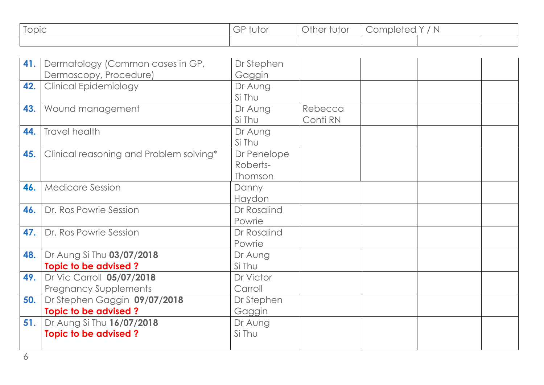| $\overline{\phantom{a}}$<br>opic | ~<br>iuioi<br>$ \sim$<br>$\smash\smile$ | <sup>1</sup> ther iv.<br>UIU<br>◡ | $\sim$ + $\sim$<br>mpler<br>N<br>_<br>$\sim$ |  |  |
|----------------------------------|-----------------------------------------|-----------------------------------|----------------------------------------------|--|--|
|                                  |                                         |                                   |                                              |  |  |

| 41. | Dermatology (Common cases in GP,        | Dr Stephen   |          |  |  |
|-----|-----------------------------------------|--------------|----------|--|--|
|     | Dermoscopy, Procedure)                  | Gaggin       |          |  |  |
| 42. | <b>Clinical Epidemiology</b>            | Dr Aung      |          |  |  |
|     |                                         | Si Thu       |          |  |  |
| 43. | Wound management                        | Dr Aung      | Rebecca  |  |  |
|     |                                         | Si Thu       | Conti RN |  |  |
| 44. | Travel health                           | Dr Aung      |          |  |  |
|     |                                         | Si Thu       |          |  |  |
| 45. | Clinical reasoning and Problem solving* | Dr Penelope  |          |  |  |
|     |                                         | Roberts-     |          |  |  |
|     |                                         | Thomson      |          |  |  |
| 46. | <b>Medicare Session</b>                 | <b>Danny</b> |          |  |  |
|     |                                         | Haydon       |          |  |  |
| 46. | Dr. Ros Powrie Session                  | Dr Rosalind  |          |  |  |
|     |                                         | Powrie       |          |  |  |
| 47. | Dr. Ros Powrie Session                  | Dr Rosalind  |          |  |  |
|     |                                         | Powrie       |          |  |  |
| 48. | Dr Aung Si Thu 03/07/2018               | Dr Aung      |          |  |  |
|     | Topic to be advised?                    | Si Thu       |          |  |  |
| 49. | Dr Vic Carroll 05/07/2018               | Dr Victor    |          |  |  |
|     | <b>Pregnancy Supplements</b>            | Carroll      |          |  |  |
| 50. | Dr Stephen Gaggin 09/07/2018            | Dr Stephen   |          |  |  |
|     | Topic to be advised?                    | Gaggin       |          |  |  |
| 51. | Dr Aung Si Thu 16/07/2018               | Dr Aung      |          |  |  |
|     | Topic to be advised?                    | Si Thu       |          |  |  |
|     |                                         |              |          |  |  |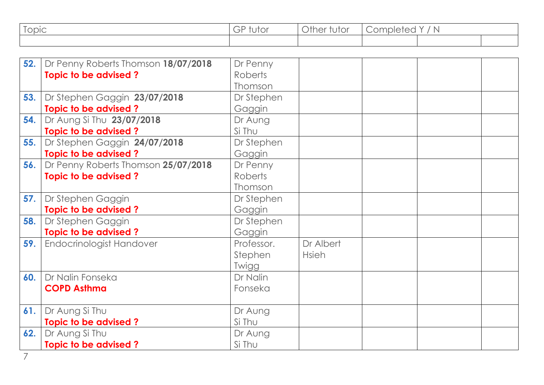| $\sim$<br>opic | ∽<br>$-$ r<br>UIU<br>╰ | <b>nther</b> in<br><b>TUTOI</b> | mpler<br>N<br>$\overline{\phantom{0}}$ |  |  |
|----------------|------------------------|---------------------------------|----------------------------------------|--|--|
|                |                        |                                 |                                        |  |  |

| 52. | Dr Penny Roberts Thomson 18/07/2018 | Dr Penny       |              |  |  |
|-----|-------------------------------------|----------------|--------------|--|--|
|     | Topic to be advised?                | <b>Roberts</b> |              |  |  |
|     |                                     | Thomson        |              |  |  |
| 53. | Dr Stephen Gaggin 23/07/2018        | Dr Stephen     |              |  |  |
|     | Topic to be advised?                | Gaggin         |              |  |  |
| 54. | Dr Aung Si Thu 23/07/2018           | Dr Aung        |              |  |  |
|     | Topic to be advised?                | Si Thu         |              |  |  |
| 55. | Dr Stephen Gaggin 24/07/2018        | Dr Stephen     |              |  |  |
|     | <b>Topic to be advised?</b>         | Gaggin         |              |  |  |
| 56. | Dr Penny Roberts Thomson 25/07/2018 | Dr Penny       |              |  |  |
|     | Topic to be advised?                | <b>Roberts</b> |              |  |  |
|     |                                     | Thomson        |              |  |  |
| 57. | Dr Stephen Gaggin                   | Dr Stephen     |              |  |  |
|     | Topic to be advised?                | Gaggin         |              |  |  |
| 58. | Dr Stephen Gaggin                   | Dr Stephen     |              |  |  |
|     | Topic to be advised?                | Gaggin         |              |  |  |
| 59. | Endocrinologist Handover            | Professor.     | Dr Albert    |  |  |
|     |                                     | Stephen        | <b>Hsieh</b> |  |  |
|     |                                     | Twigg          |              |  |  |
| 60. | Dr Nalin Fonseka                    | Dr Nalin       |              |  |  |
|     | <b>COPD Asthma</b>                  | Fonseka        |              |  |  |
|     |                                     |                |              |  |  |
| 61. | Dr Aung Si Thu                      | Dr Aung        |              |  |  |
|     | Topic to be advised?                | Si Thu         |              |  |  |
| 62. | Dr Aung Si Thu                      | Dr Aung        |              |  |  |
|     | Topic to be advised?                | Si Thu         |              |  |  |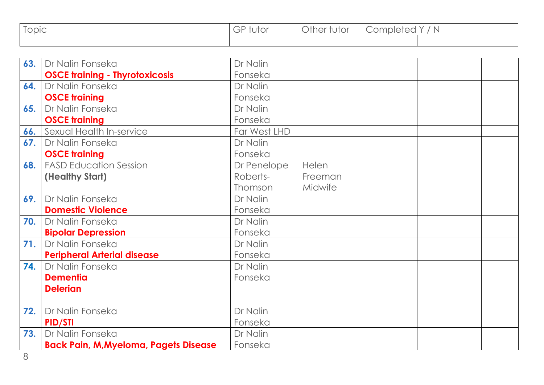| $\sim$<br>opic | $\sim$ $\sim$<br>IUIOI<br>– F<br>◡ | <sup>1</sup> ther iv.<br>UIUI | mplere<br>N |  |  |
|----------------|------------------------------------|-------------------------------|-------------|--|--|
|                |                                    |                               |             |  |  |

| 63. | Dr Nalin Fonseka                             | Dr Nalin     |         |  |
|-----|----------------------------------------------|--------------|---------|--|
|     | <b>OSCE training - Thyrotoxicosis</b>        | Fonseka      |         |  |
| 64. | Dr Nalin Fonseka                             | Dr Nalin     |         |  |
|     | <b>OSCE training</b>                         | Fonseka      |         |  |
| 65. | Dr Nalin Fonseka                             | Dr Nalin     |         |  |
|     | <b>OSCE training</b>                         | Fonseka      |         |  |
| 66. | Sexual Health In-service                     | Far West LHD |         |  |
| 67. | Dr Nalin Fonseka                             | Dr Nalin     |         |  |
|     | <b>OSCE training</b>                         | Fonseka      |         |  |
| 68. | <b>FASD Education Session</b>                | Dr Penelope  | Helen   |  |
|     | (Healthy Start)                              | Roberts-     | Freeman |  |
|     |                                              | Thomson      | Midwife |  |
| 69. | Dr Nalin Fonseka                             | Dr Nalin     |         |  |
|     | <b>Domestic Violence</b>                     | Fonseka      |         |  |
| 70. | Dr Nalin Fonseka                             | Dr Nalin     |         |  |
|     | <b>Bipolar Depression</b>                    | Fonseka      |         |  |
| 71. | Dr Nalin Fonseka                             | Dr Nalin     |         |  |
|     | <b>Peripheral Arterial disease</b>           | Fonseka      |         |  |
| 74. | Dr Nalin Fonseka                             | Dr Nalin     |         |  |
|     | <b>Dementia</b>                              | Fonseka      |         |  |
|     | <b>Delerian</b>                              |              |         |  |
|     |                                              |              |         |  |
| 72. | Dr Nalin Fonseka                             | Dr Nalin     |         |  |
|     | <b>PID/STI</b>                               | Fonseka      |         |  |
| 73. | Dr Nalin Fonseka                             | Dr Nalin     |         |  |
|     | <b>Back Pain, M, Myeloma, Pagets Disease</b> | Fonseka      |         |  |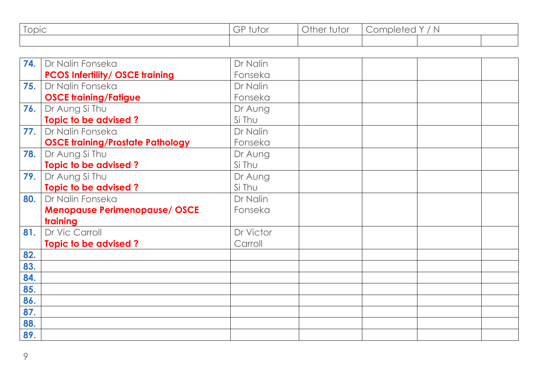| $\sim$<br>opic | $\sim$ $\sim$<br>IUIOI<br>– F<br>◡ | <sup>1</sup> ther iv.<br>UIUI | mplere<br>N |  |  |
|----------------|------------------------------------|-------------------------------|-------------|--|--|
|                |                                    |                               |             |  |  |

| 74. | Dr Nalin Fonseka                        | Dr Nalin  |  |  |
|-----|-----------------------------------------|-----------|--|--|
|     | <b>PCOS Infertility/ OSCE training</b>  | Fonseka   |  |  |
| 75. | Dr Nalin Fonseka                        | Dr Nalin  |  |  |
|     | <b>OSCE training/Fatigue</b>            | Fonseka   |  |  |
| 76. | Dr Aung Si Thu                          | Dr Aung   |  |  |
|     | Topic to be advised?                    | Si Thu    |  |  |
| 77. | Dr Nalin Fonseka                        | Dr Nalin  |  |  |
|     | <b>OSCE training/Prostate Pathology</b> | Fonseka   |  |  |
| 78. | Dr Aung Si Thu                          | Dr Aung   |  |  |
|     | Topic to be advised?                    | Si Thu    |  |  |
| 79. | Dr Aung Si Thu                          | Dr Aung   |  |  |
|     | Topic to be advised?                    | Si Thu    |  |  |
| 80. | Dr Nalin Fonseka                        | Dr Nalin  |  |  |
|     | <b>Menopause Perimenopause/ OSCE</b>    | Fonseka   |  |  |
|     | training                                |           |  |  |
| 81. | Dr Vic Carroll                          | Dr Victor |  |  |
|     | Topic to be advised?                    | Carroll   |  |  |
| 82. |                                         |           |  |  |
| 83. |                                         |           |  |  |
| 84. |                                         |           |  |  |
| 85. |                                         |           |  |  |
| 86. |                                         |           |  |  |
| 87. |                                         |           |  |  |
| 88. |                                         |           |  |  |
| 89. |                                         |           |  |  |